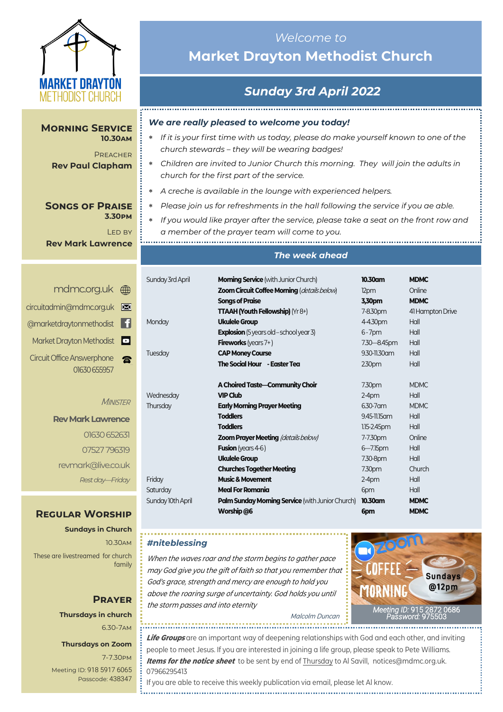

**Morning Service** 

**Rev Paul Clapham**

**10.30am PREACHER** 

> **3.30pm** Led by

# *Welcome to*  **Market Drayton Methodist Church**

# *Sunday 3rd April 2022*

................................

## *We are really pleased to welcome you today!*

- *If it is your first time with us today, please do make yourself known to one of the church stewards – they will be wearing badges!*
- *Children are invited to Junior Church this morning. They will join the adults in church for the first part of the service.*
- *A creche is available in the lounge with experienced helpers.*
- *Please join us for refreshments in the hall following the service if you ae able.*
- *If you would like prayer after the service, please take a seat on the front row and a member of the prayer team will come to you.*

**Rev Mark Lawrence**

**Songs of Praise** 

| mdmc.org.uk ()                                    |   |
|---------------------------------------------------|---|
| circuitadmin@mdmc.org.uk                          | ⊠ |
| @marketdraytonmethodist                           |   |
| Market Drayton Methodist <sup>5</sup>             |   |
| <b>Circuit Office Answerphone</b><br>01630 655957 |   |

#### **MINISTER**

**Rev Mark Lawrence** 01630 652631 07527 796319 revmark@live.co.uk *Rest day—Friday*

## **Regular Worship**

**Sundays in Church** 10.30am These are livestreamed for church family

# **Prayer Thursdays in church**

6.30-7am

## **Thursdays on Zoom**

7-7.30pm [Meeting ID:](https://us04web.zoom.us/j/77138650306?fbclid=IwAR1B778-w3GWZgDnAqUFq-X6hXjzASNTsZuRIt4kZ4Cpyur_3CO2EGlBBwY#success) 918 5917 6065 Passcode: 438347

### *The week ahead*

| Sunday 3rd April  | <b>Morning Service</b> (with Junior Church)             | 10.30am           | <b>MDMC</b>      |
|-------------------|---------------------------------------------------------|-------------------|------------------|
|                   | Zoom Circuit Coffee Morning (details below)             | 12pm              | Online           |
|                   | <b>Songs of Praise</b>                                  | 3,30pm            | <b>MDMC</b>      |
|                   | <b>TTAAH (Youth Fellowship)</b> ( $Yr8+$ )              | 7-8.30pm          | 41 Hampton Drive |
| Monday            | <b>Ukulele Group</b>                                    | 4-4.30pm          | Hall             |
|                   | <b>Explosion</b> (5 years old – school year 3)          | $6 - 7$ pm        | Hall             |
|                   | <b>Fireworks</b> (years $7+$ )                          | 7.30 - 8.45pm     | Hall             |
| Tuesday           | <b>CAP Money Course</b>                                 | 9.30-11.30 am     | Hall             |
|                   | The Social Hour - Easter Tea                            | 230 <sub>pm</sub> | Hall             |
|                   | A Choired Taste-Community Choir                         | 7.30pm            | <b>MDMC</b>      |
| Wednesday         | <b>VIP Club</b>                                         | $2-4pm$           | Hall             |
| Thursday          | <b>Early Morning Prayer Meeting</b>                     | 6.30-7 am         | <b>MDMC</b>      |
|                   | <b>Toddlers</b>                                         | 9.45-11.15 am     | Hall             |
|                   | <b>Toddlers</b>                                         | 1.15-2.45pm       | Hall             |
|                   | <b>Zoom Prayer Meeting (details below)</b>              | 7-7.30pm          | Online           |
|                   | <b>Fusion</b> (years $4-6$ )                            | $6 - 7.15$ pm     | Hall             |
|                   | <b>Ukulele Group</b>                                    | 7.30-8pm          | Hall             |
|                   | <b>Churches Together Meeting</b>                        | 7.30pm            | Church           |
| Friday            | <b>Music &amp; Movement</b>                             | $2-4pm$           | Hall             |
| Saturday          | <b>Meal For Romania</b>                                 | 6pm               | Hall             |
| Sunday 10th April | <b>Palm Sunday Morning Service</b> (with Junior Church) | 10.30am           | <b>MDMC</b>      |
|                   | Worship @6                                              | 6pm               | <b>MDMC</b>      |

## *#niteblessing*

When the waves roar and the storm begins to gather pace may God give you the gift of faith so that you remember that God's grace, strength and mercy are enough to hold you above the roaring surge of uncertainty. God holds you until the storm passes and into eternity



Malcolm Duncan

**Life Groups** are an important way of deepening relationships with God and each other, and inviting people to meet Jesus. If you are interested in joining a life group, please speak to Pete Williams. **Items for the notice sheet** to be sent by end of Thursday to Al Savill, notices@mdmc.org.uk. 07966295413

If you are able to receive this weekly publication via email, please let Al know.